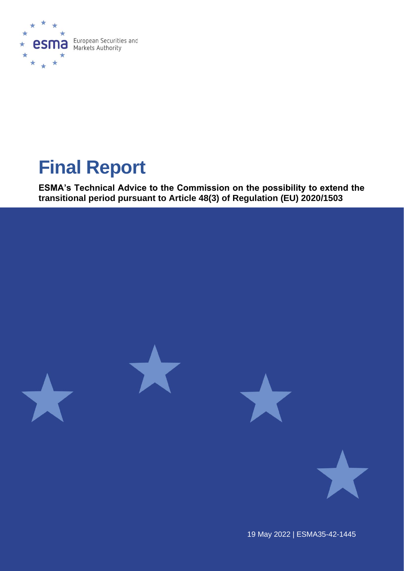

# **Final Report**

**ESMA's Technical Advice to the Commission on the possibility to extend the transitional period pursuant to Article 48(3) of Regulation (EU) 2020/1503**



19 May 2022 | ESMA35-42-1445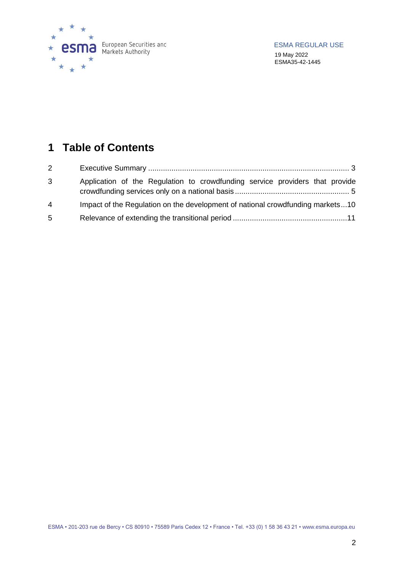

# **Table of Contents**

| $2^{\circ}$    |                                                                                |
|----------------|--------------------------------------------------------------------------------|
| 3              | Application of the Regulation to crowdfunding service providers that provide   |
| $\overline{4}$ | Impact of the Regulation on the development of national crowdfunding markets10 |
| 5              |                                                                                |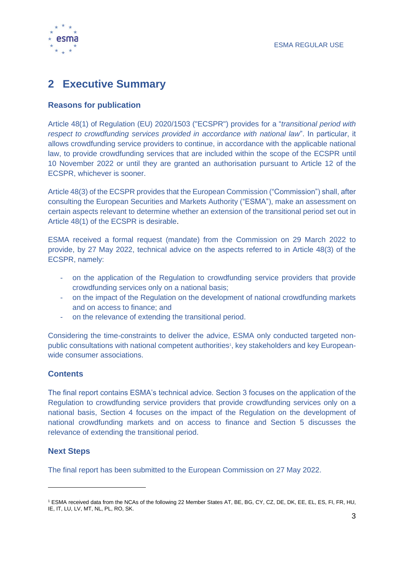

# <span id="page-2-0"></span>**2 Executive Summary**

#### **Reasons for publication**

Article 48(1) of Regulation (EU) 2020/1503 ("ECSPR") provides for a "*transitional period with respect to crowdfunding services provided in accordance with national law*". In particular, it allows crowdfunding service providers to continue, in accordance with the applicable national law, to provide crowdfunding services that are included within the scope of the ECSPR until 10 November 2022 or until they are granted an authorisation pursuant to Article 12 of the ECSPR, whichever is sooner.

Article 48(3) of the ECSPR provides that the European Commission ("Commission") shall, after consulting the European Securities and Markets Authority ("ESMA"), make an assessment on certain aspects relevant to determine whether an extension of the transitional period set out in Article 48(1) of the ECSPR is desirable.

ESMA received a formal request (mandate) from the Commission on 29 March 2022 to provide, by 27 May 2022, technical advice on the aspects referred to in Article 48(3) of the ECSPR, namely:

- on the application of the Regulation to crowdfunding service providers that provide crowdfunding services only on a national basis;
- on the impact of the Regulation on the development of national crowdfunding markets and on access to finance; and
- on the relevance of extending the transitional period.

Considering the time-constraints to deliver the advice, ESMA only conducted targeted nonpublic consultations with national competent authorities<sup>1</sup>, key stakeholders and key Europeanwide consumer associations.

### **Contents**

The final report contains ESMA's technical advice. Section 3 focuses on the application of the Regulation to crowdfunding service providers that provide crowdfunding services only on a national basis, Section 4 focuses on the impact of the Regulation on the development of national crowdfunding markets and on access to finance and Section 5 discusses the relevance of extending the transitional period.

#### **Next Steps**

The final report has been submitted to the European Commission on 27 May 2022.

<sup>1</sup> ESMA received data from the NCAs of the following 22 Member States AT, BE, BG, CY, CZ, DE, DK, EE, EL, ES, FI, FR, HU, IE, IT, LU, LV, MT, NL, PL, RO, SK.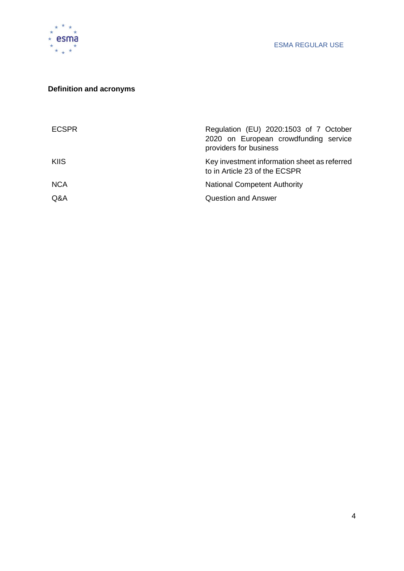

## **Definition and acronyms**

| Regulation (EU) 2020:1503 of 7 October<br>2020 on European crowdfunding service<br>providers for business |
|-----------------------------------------------------------------------------------------------------------|
| Key investment information sheet as referred<br>to in Article 23 of the ECSPR                             |
| <b>National Competent Authority</b>                                                                       |
| <b>Question and Answer</b>                                                                                |
|                                                                                                           |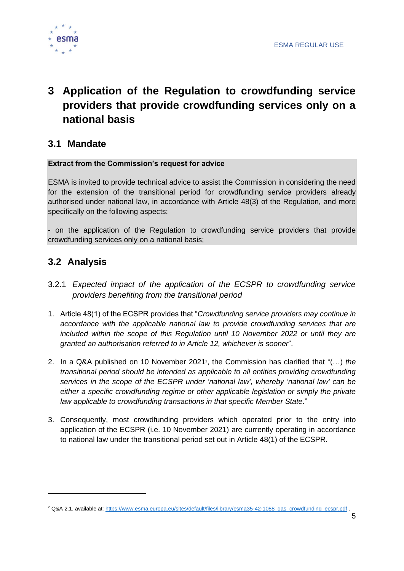

# <span id="page-4-0"></span>**3 Application of the Regulation to crowdfunding service providers that provide crowdfunding services only on a national basis**

## **3.1 Mandate**

#### **Extract from the Commission's request for advice**

ESMA is invited to provide technical advice to assist the Commission in considering the need for the extension of the transitional period for crowdfunding service providers already authorised under national law, in accordance with Article 48(3) of the Regulation, and more specifically on the following aspects:

- on the application of the Regulation to crowdfunding service providers that provide crowdfunding services only on a national basis;

## **3.2 Analysis**

- 3.2.1 *Expected impact of the application of the ECSPR to crowdfunding service providers benefiting from the transitional period*
- 1. Article 48(1) of the ECSPR provides that "*Crowdfunding service providers may continue in accordance with the applicable national law to provide crowdfunding services that are included within the scope of this Regulation until 10 November 2022 or until they are granted an authorisation referred to in Article 12, whichever is sooner*".
- 2. In a Q&A published on 10 November 2021<sup>2</sup> , the Commission has clarified that "(…) *the transitional period should be intended as applicable to all entities providing crowdfunding services in the scope of the ECSPR under 'national law', whereby 'national law' can be*  either a specific crowdfunding regime or other applicable legislation or simply the private *law applicable to crowdfunding transactions in that specific Member State*."
- 3. Consequently, most crowdfunding providers which operated prior to the entry into application of the ECSPR (i.e. 10 November 2021) are currently operating in accordance to national law under the transitional period set out in Article 48(1) of the ECSPR.

<sup>&</sup>lt;sup>2</sup> Q&A 2.1, available at[: https://www.esma.europa.eu/sites/default/files/library/esma35-42-1088\\_qas\\_crowdfunding\\_ecspr.pdf](https://www.esma.europa.eu/sites/default/files/library/esma35-42-1088_qas_crowdfunding_ecspr.pdf) .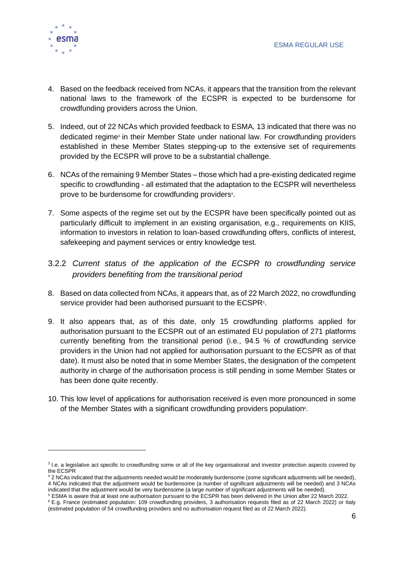

- 4. Based on the feedback received from NCAs, it appears that the transition from the relevant national laws to the framework of the ECSPR is expected to be burdensome for crowdfunding providers across the Union.
- 5. Indeed, out of 22 NCAs which provided feedback to ESMA, 13 indicated that there was no dedicated regime<sup>3</sup> in their Member State under national law. For crowdfunding providers established in these Member States stepping-up to the extensive set of requirements provided by the ECSPR will prove to be a substantial challenge.
- 6. NCAs of the remaining 9 Member States those which had a pre-existing dedicated regime specific to crowdfunding - all estimated that the adaptation to the ECSPR will nevertheless prove to be burdensome for crowdfunding providers<sup>4</sup>.
- 7. Some aspects of the regime set out by the ECSPR have been specifically pointed out as particularly difficult to implement in an existing organisation, e.g., requirements on KIIS, information to investors in relation to loan-based crowdfunding offers, conflicts of interest, safekeeping and payment services or entry knowledge test.
- 3.2.2 *Current status of the application of the ECSPR to crowdfunding service providers benefiting from the transitional period*
- 8. Based on data collected from NCAs, it appears that, as of 22 March 2022, no crowdfunding service provider had been authorised pursuant to the ECSPR<sup>5</sup>.
- 9. It also appears that, as of this date, only 15 crowdfunding platforms applied for authorisation pursuant to the ECSPR out of an estimated EU population of 271 platforms currently benefiting from the transitional period (i.e., 94.5 % of crowdfunding service providers in the Union had not applied for authorisation pursuant to the ECSPR as of that date). It must also be noted that in some Member States, the designation of the competent authority in charge of the authorisation process is still pending in some Member States or has been done quite recently.
- 10. This low level of applications for authorisation received is even more pronounced in some of the Member States with a significant crowdfunding providers population<sup>6</sup>.

<sup>&</sup>lt;sup>3</sup> I.e. a legislative act specific to crowdfunding some or all of the key organisational and investor protection aspects covered by the ECSPR

<sup>4</sup> 2 NCAs indicated that the adjustments needed would be moderately burdensome (some significant adjustments will be needed), 4 NCAs indicated that the adjustment would be burdensome (a number of significant adjustments will be needed) and 3 NCAs indicated that the adjustment would be very burdensome (a large number of significant adjustments will be needed).

<sup>5</sup> ESMA is aware that at least one authorisation pursuant to the ECSPR has been delivered in the Union after 22 March 2022.

<sup>6</sup> E.g. France (estimated population: 109 crowdfunding providers, 3 authorisation requests filed as of 22 March 2022) or Italy (estimated population of 54 crowdfunding providers and no authorisation request filed as of 22 March 2022).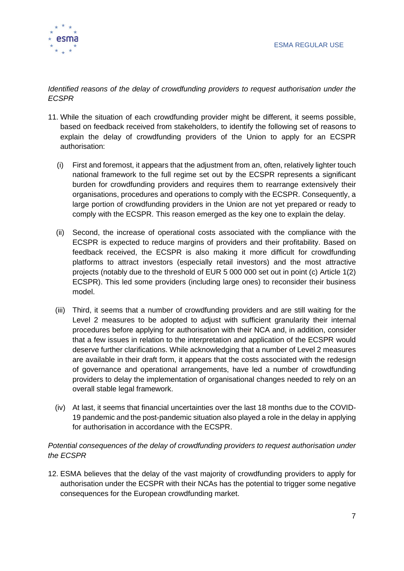

*Identified reasons of the delay of crowdfunding providers to request authorisation under the ECSPR*

- 11. While the situation of each crowdfunding provider might be different, it seems possible, based on feedback received from stakeholders, to identify the following set of reasons to explain the delay of crowdfunding providers of the Union to apply for an ECSPR authorisation:
	- (i) First and foremost, it appears that the adjustment from an, often, relatively lighter touch national framework to the full regime set out by the ECSPR represents a significant burden for crowdfunding providers and requires them to rearrange extensively their organisations, procedures and operations to comply with the ECSPR. Consequently, a large portion of crowdfunding providers in the Union are not yet prepared or ready to comply with the ECSPR. This reason emerged as the key one to explain the delay.
	- (ii) Second, the increase of operational costs associated with the compliance with the ECSPR is expected to reduce margins of providers and their profitability. Based on feedback received, the ECSPR is also making it more difficult for crowdfunding platforms to attract investors (especially retail investors) and the most attractive projects (notably due to the threshold of EUR 5 000 000 set out in point (c) Article 1(2) ECSPR). This led some providers (including large ones) to reconsider their business model.
	- (iii) Third, it seems that a number of crowdfunding providers and are still waiting for the Level 2 measures to be adopted to adjust with sufficient granularity their internal procedures before applying for authorisation with their NCA and, in addition, consider that a few issues in relation to the interpretation and application of the ECSPR would deserve further clarifications. While acknowledging that a number of Level 2 measures are available in their draft form, it appears that the costs associated with the redesign of governance and operational arrangements, have led a number of crowdfunding providers to delay the implementation of organisational changes needed to rely on an overall stable legal framework.
	- (iv) At last, it seems that financial uncertainties over the last 18 months due to the COVID-19 pandemic and the post-pandemic situation also played a role in the delay in applying for authorisation in accordance with the ECSPR.

#### *Potential consequences of the delay of crowdfunding providers to request authorisation under the ECSPR*

12. ESMA believes that the delay of the vast majority of crowdfunding providers to apply for authorisation under the ECSPR with their NCAs has the potential to trigger some negative consequences for the European crowdfunding market.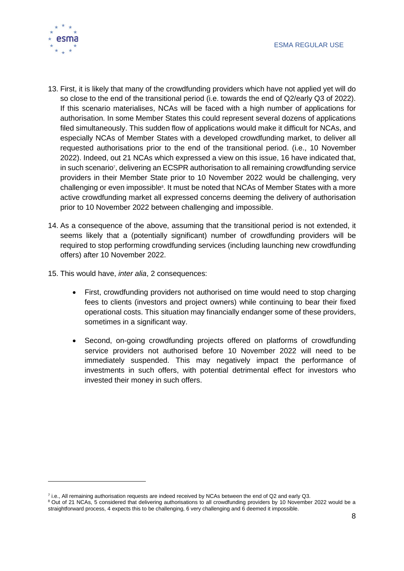

- 13. First, it is likely that many of the crowdfunding providers which have not applied yet will do so close to the end of the transitional period (i.e. towards the end of Q2/early Q3 of 2022). If this scenario materialises, NCAs will be faced with a high number of applications for authorisation. In some Member States this could represent several dozens of applications filed simultaneously. This sudden flow of applications would make it difficult for NCAs, and especially NCAs of Member States with a developed crowdfunding market, to deliver all requested authorisations prior to the end of the transitional period. (i.e., 10 November 2022). Indeed, out 21 NCAs which expressed a view on this issue, 16 have indicated that, in such scenario<sup>7</sup>, delivering an ECSPR authorisation to all remaining crowdfunding service providers in their Member State prior to 10 November 2022 would be challenging, very challenging or even impossible<sup>8</sup>. It must be noted that NCAs of Member States with a more active crowdfunding market all expressed concerns deeming the delivery of authorisation prior to 10 November 2022 between challenging and impossible.
- 14. As a consequence of the above, assuming that the transitional period is not extended, it seems likely that a (potentially significant) number of crowdfunding providers will be required to stop performing crowdfunding services (including launching new crowdfunding offers) after 10 November 2022.
- 15. This would have, *inter alia*, 2 consequences:
	- First, crowdfunding providers not authorised on time would need to stop charging fees to clients (investors and project owners) while continuing to bear their fixed operational costs. This situation may financially endanger some of these providers, sometimes in a significant way.
	- Second, on-going crowdfunding projects offered on platforms of crowdfunding service providers not authorised before 10 November 2022 will need to be immediately suspended. This may negatively impact the performance of investments in such offers, with potential detrimental effect for investors who invested their money in such offers.

<sup>7</sup> i.e., All remaining authorisation requests are indeed received by NCAs between the end of Q2 and early Q3.

<sup>&</sup>lt;sup>8</sup> Out of 21 NCAs, 5 considered that delivering authorisations to all crowdfunding providers by 10 November 2022 would be a straightforward process, 4 expects this to be challenging, 6 very challenging and 6 deemed it impossible.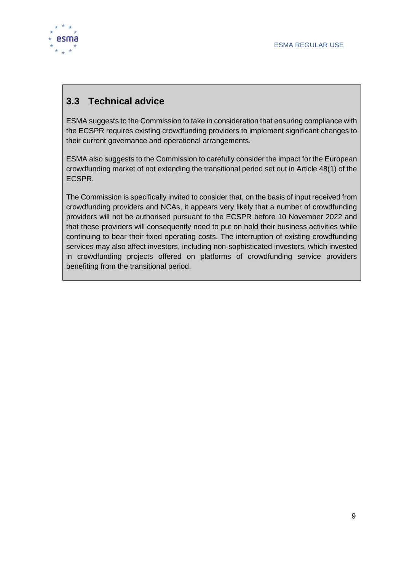

# **3.3 Technical advice**

ESMA suggests to the Commission to take in consideration that ensuring compliance with the ECSPR requires existing crowdfunding providers to implement significant changes to their current governance and operational arrangements.

ESMA also suggests to the Commission to carefully consider the impact for the European crowdfunding market of not extending the transitional period set out in Article 48(1) of the ECSPR.

The Commission is specifically invited to consider that, on the basis of input received from crowdfunding providers and NCAs, it appears very likely that a number of crowdfunding providers will not be authorised pursuant to the ECSPR before 10 November 2022 and that these providers will consequently need to put on hold their business activities while continuing to bear their fixed operating costs. The interruption of existing crowdfunding services may also affect investors, including non-sophisticated investors, which invested in crowdfunding projects offered on platforms of crowdfunding service providers benefiting from the transitional period.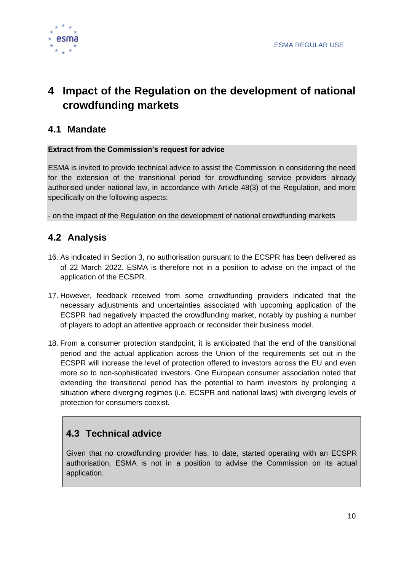

# <span id="page-9-0"></span>**4 Impact of the Regulation on the development of national crowdfunding markets**

## **4.1 Mandate**

#### **Extract from the Commission's request for advice**

ESMA is invited to provide technical advice to assist the Commission in considering the need for the extension of the transitional period for crowdfunding service providers already authorised under national law, in accordance with Article 48(3) of the Regulation, and more specifically on the following aspects:

- on the impact of the Regulation on the development of national crowdfunding markets

## **4.2 Analysis**

- 16. As indicated in Section 3, no authorisation pursuant to the ECSPR has been delivered as of 22 March 2022. ESMA is therefore not in a position to advise on the impact of the application of the ECSPR.
- 17. However, feedback received from some crowdfunding providers indicated that the necessary adjustments and uncertainties associated with upcoming application of the ECSPR had negatively impacted the crowdfunding market, notably by pushing a number of players to adopt an attentive approach or reconsider their business model.
- 18. From a consumer protection standpoint, it is anticipated that the end of the transitional period and the actual application across the Union of the requirements set out in the ECSPR will increase the level of protection offered to investors across the EU and even more so to non-sophisticated investors. One European consumer association noted that extending the transitional period has the potential to harm investors by prolonging a situation where diverging regimes (i.e. ECSPR and national laws) with diverging levels of protection for consumers coexist.

# **4.3 Technical advice**

Given that no crowdfunding provider has, to date, started operating with an ECSPR authorisation, ESMA is not in a position to advise the Commission on its actual application.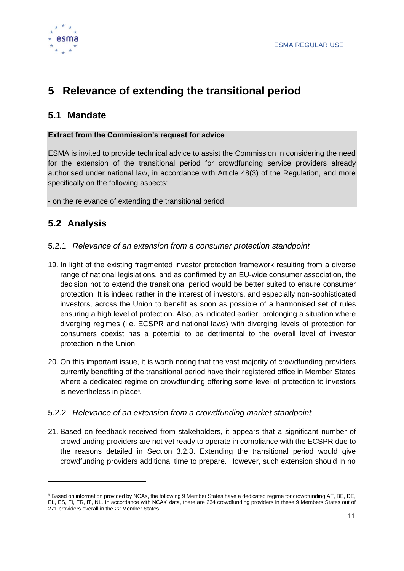

# <span id="page-10-0"></span>**5 Relevance of extending the transitional period**

## **5.1 Mandate**

#### **Extract from the Commission's request for advice**

ESMA is invited to provide technical advice to assist the Commission in considering the need for the extension of the transitional period for crowdfunding service providers already authorised under national law, in accordance with Article 48(3) of the Regulation, and more specifically on the following aspects:

- on the relevance of extending the transitional period

# **5.2 Analysis**

### 5.2.1 *Relevance of an extension from a consumer protection standpoint*

- 19. In light of the existing fragmented investor protection framework resulting from a diverse range of national legislations, and as confirmed by an EU-wide consumer association, the decision not to extend the transitional period would be better suited to ensure consumer protection. It is indeed rather in the interest of investors, and especially non-sophisticated investors, across the Union to benefit as soon as possible of a harmonised set of rules ensuring a high level of protection. Also, as indicated earlier, prolonging a situation where diverging regimes (i.e. ECSPR and national laws) with diverging levels of protection for consumers coexist has a potential to be detrimental to the overall level of investor protection in the Union.
- 20. On this important issue, it is worth noting that the vast majority of crowdfunding providers currently benefiting of the transitional period have their registered office in Member States where a dedicated regime on crowdfunding offering some level of protection to investors is nevertheless in place<sup>9</sup>.

### 5.2.2 *Relevance of an extension from a crowdfunding market standpoint*

21. Based on feedback received from stakeholders, it appears that a significant number of crowdfunding providers are not yet ready to operate in compliance with the ECSPR due to the reasons detailed in Section 3.2.3. Extending the transitional period would give crowdfunding providers additional time to prepare. However, such extension should in no

<sup>9</sup> Based on information provided by NCAs, the following 9 Member States have a dedicated regime for crowdfunding AT, BE, DE, EL, ES, FI, FR, IT, NL. In accordance with NCAs' data, there are 234 crowdfunding providers in these 9 Members States out of 271 providers overall in the 22 Member States.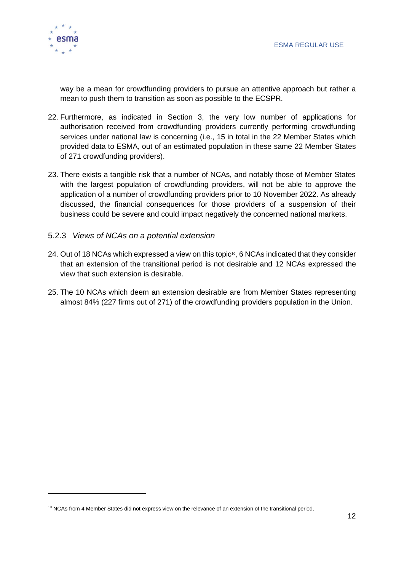way be a mean for crowdfunding providers to pursue an attentive approach but rather a mean to push them to transition as soon as possible to the ECSPR.

- 22. Furthermore, as indicated in Section 3, the very low number of applications for authorisation received from crowdfunding providers currently performing crowdfunding services under national law is concerning (i.e., 15 in total in the 22 Member States which provided data to ESMA, out of an estimated population in these same 22 Member States of 271 crowdfunding providers).
- 23. There exists a tangible risk that a number of NCAs, and notably those of Member States with the largest population of crowdfunding providers, will not be able to approve the application of a number of crowdfunding providers prior to 10 November 2022. As already discussed, the financial consequences for those providers of a suspension of their business could be severe and could impact negatively the concerned national markets.

#### 5.2.3 *Views of NCAs on a potential extension*

- 24. Out of 18 NCAs which expressed a view on this topic<sup>10</sup>, 6 NCAs indicated that they consider that an extension of the transitional period is not desirable and 12 NCAs expressed the view that such extension is desirable.
- 25. The 10 NCAs which deem an extension desirable are from Member States representing almost 84% (227 firms out of 271) of the crowdfunding providers population in the Union.

<sup>&</sup>lt;sup>10</sup> NCAs from 4 Member States did not express view on the relevance of an extension of the transitional period.